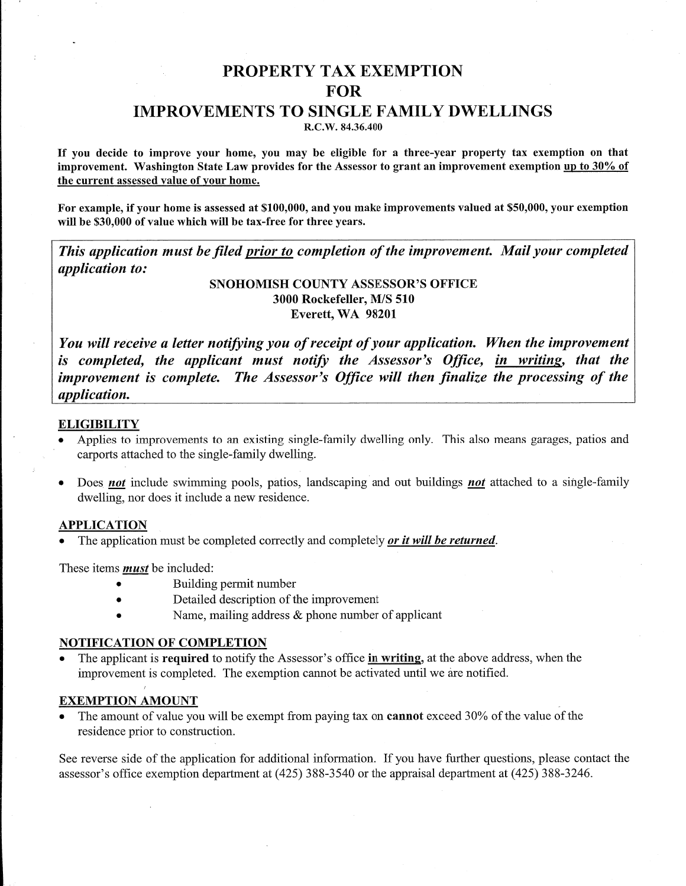# **PROPERTY TAX EXEMPTION FOR**

## **IMPROVEMENTS TO SINGLE FAMILY DWELLINGS**

R.C.W. 84.36.400

If you decide to improve your home, you may be eligible for a three-year property tax exemption on that improvement. Washington State Law provides for the Assessor to grant an improvement exemption up to 30% of the current assessed value of your home.

For example, if your home is assessed at \$100,000, and you make improvements valued at \$50,000, your exemption will be \$30,000 of value which will be tax-free for three years.

This application must be filed prior to completion of the improvement. Mail your completed application to:

> SNOHOMISH COUNTY ASSESSOR'S OFFICE 3000 Rockefeller, M/S 510 Everett, WA 98201

You will receive a letter notifying you of receipt of your application. When the improvement is completed, the applicant must notify the Assessor's Office, in writing, that the improvement is complete. The Assessor's Office will then finalize the processing of the application.

### **ELIGIBILITY**

- Applies to improvements to an existing single-family dwelling only. This also means garages, patios and carports attached to the single-family dwelling.
- Does not include swimming pools, patios, landscaping and out buildings not attached to a single-family dwelling, nor does it include a new residence.

#### **APPLICATION**

The application must be completed correctly and completely *or it will be returned*.

These items *must* be included:

- Building permit number
- Detailed description of the improvement
- Name, mailing address & phone number of applicant

### **NOTIFICATION OF COMPLETION**

The applicant is required to notify the Assessor's office in writing, at the above address, when the improvement is completed. The exemption cannot be activated until we are notified.

### **EXEMPTION AMOUNT**

The amount of value you will be exempt from paying tax on cannot exceed 30% of the value of the residence prior to construction.

See reverse side of the application for additional information. If you have further questions, please contact the assessor's office exemption department at (425) 388-3540 or the appraisal department at (425) 388-3246.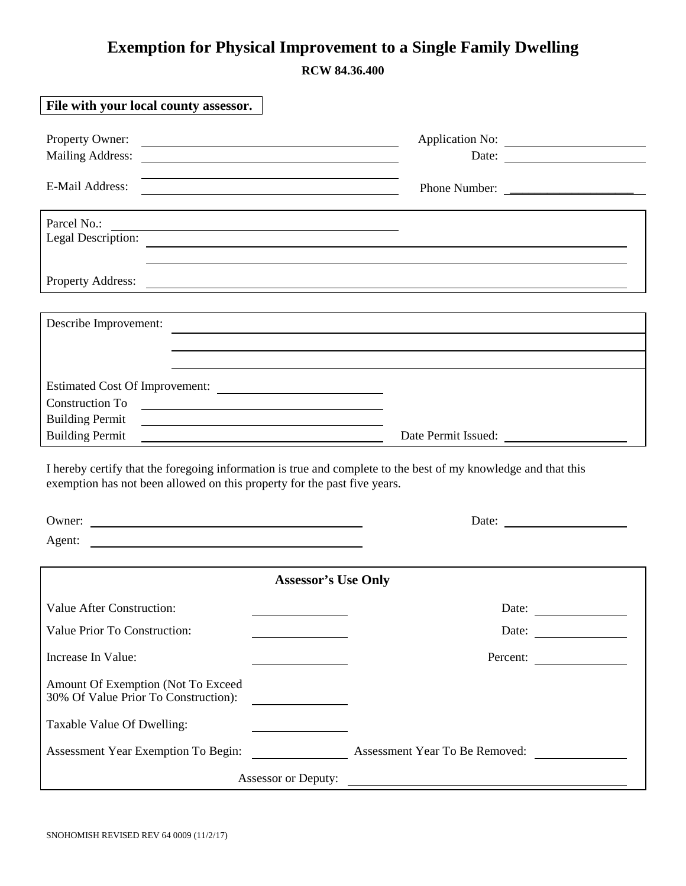# **Exemption for Physical Improvement to a Single Family Dwelling**

**RCW 84.36.400** 

| File with your local county assessor.                                                                                                                                                      |                                                                                                                      |
|--------------------------------------------------------------------------------------------------------------------------------------------------------------------------------------------|----------------------------------------------------------------------------------------------------------------------|
|                                                                                                                                                                                            |                                                                                                                      |
| Property Owner:<br><b>Mailing Address:</b>                                                                                                                                                 | Date:                                                                                                                |
| <u> 1989 - Andrea Andrew Maria (h. 1989).</u>                                                                                                                                              |                                                                                                                      |
| E-Mail Address:<br><u> 1980 - Johann Barn, fransk politik (d. 1980)</u>                                                                                                                    | Phone Number:                                                                                                        |
|                                                                                                                                                                                            |                                                                                                                      |
| Parcel No.:<br><u> 1989 - Johann Barn, fransk politik (f. 1989)</u>                                                                                                                        |                                                                                                                      |
| Legal Description:                                                                                                                                                                         |                                                                                                                      |
|                                                                                                                                                                                            |                                                                                                                      |
| Property Address:                                                                                                                                                                          | <u> 1989 - Johann Stein, marwolaethau a bhann an t-Amhain an t-Amhain an t-Amhain an t-Amhain an t-Amhain an t-A</u> |
|                                                                                                                                                                                            |                                                                                                                      |
| Describe Improvement:                                                                                                                                                                      |                                                                                                                      |
|                                                                                                                                                                                            |                                                                                                                      |
|                                                                                                                                                                                            |                                                                                                                      |
| Estimated Cost Of Improvement:                                                                                                                                                             |                                                                                                                      |
| <b>Construction To</b><br><u> 1989 - Johann John Stein, fransk politik (d. 1989)</u>                                                                                                       |                                                                                                                      |
| <b>Building Permit</b><br><u> 1989 - Johann Barn, fransk politik amerikansk politik (</u>                                                                                                  |                                                                                                                      |
| <b>Building Permit</b><br><u> 1989 - Johann Barn, fransk politik amerikansk politik (</u>                                                                                                  | Date Permit Issued:                                                                                                  |
| I hereby certify that the foregoing information is true and complete to the best of my knowledge and that this<br>exemption has not been allowed on this property for the past five years. |                                                                                                                      |
| Owner: $\qquad \qquad$                                                                                                                                                                     |                                                                                                                      |
| Agent:                                                                                                                                                                                     |                                                                                                                      |
|                                                                                                                                                                                            |                                                                                                                      |
| <b>Assessor's Use Only</b>                                                                                                                                                                 |                                                                                                                      |
| Value After Construction:                                                                                                                                                                  | Date:                                                                                                                |
| Value Prior To Construction:                                                                                                                                                               | Date:                                                                                                                |
| Increase In Value:                                                                                                                                                                         | Percent:                                                                                                             |
| Amount Of Exemption (Not To Exceed<br>30% Of Value Prior To Construction):                                                                                                                 |                                                                                                                      |
| Taxable Value Of Dwelling:                                                                                                                                                                 |                                                                                                                      |
| Assessment Year Exemption To Begin:                                                                                                                                                        | Assessment Year To Be Removed:                                                                                       |
| <b>Assessor or Deputy:</b>                                                                                                                                                                 |                                                                                                                      |